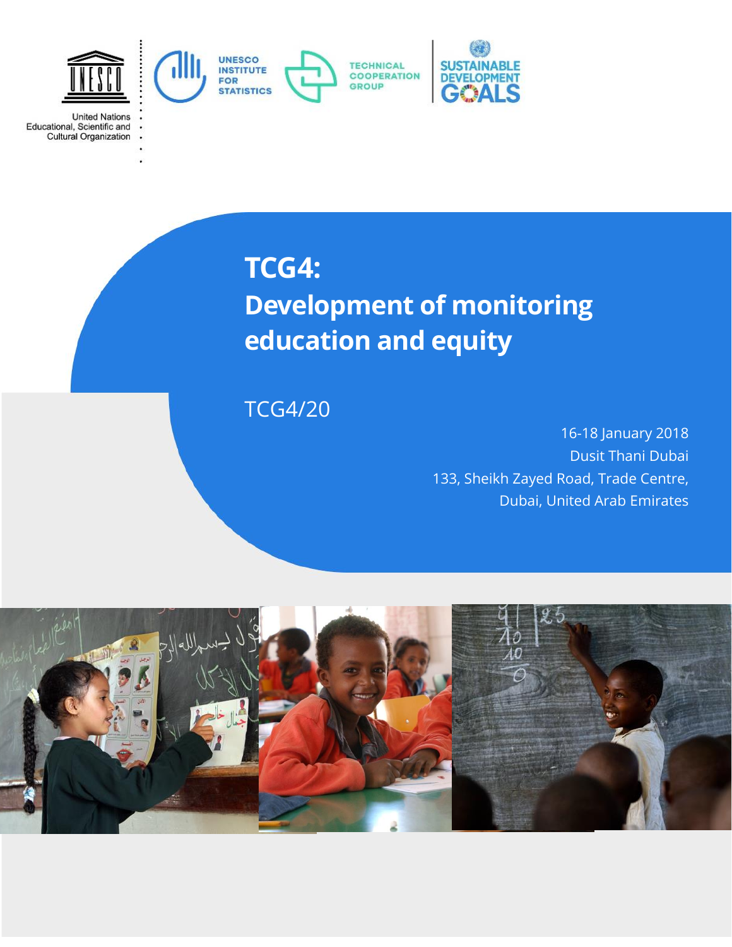

**United Nations** 

Educational, Scientific and<br>Cultural Organization

**TCG4:**

# **Development of monitoring education and equity**

# TCG4/20

16-18 January 2018 Dusit Thani Dubai 133, Sheikh Zayed Road, Trade Centre, Dubai, United Arab Emirates

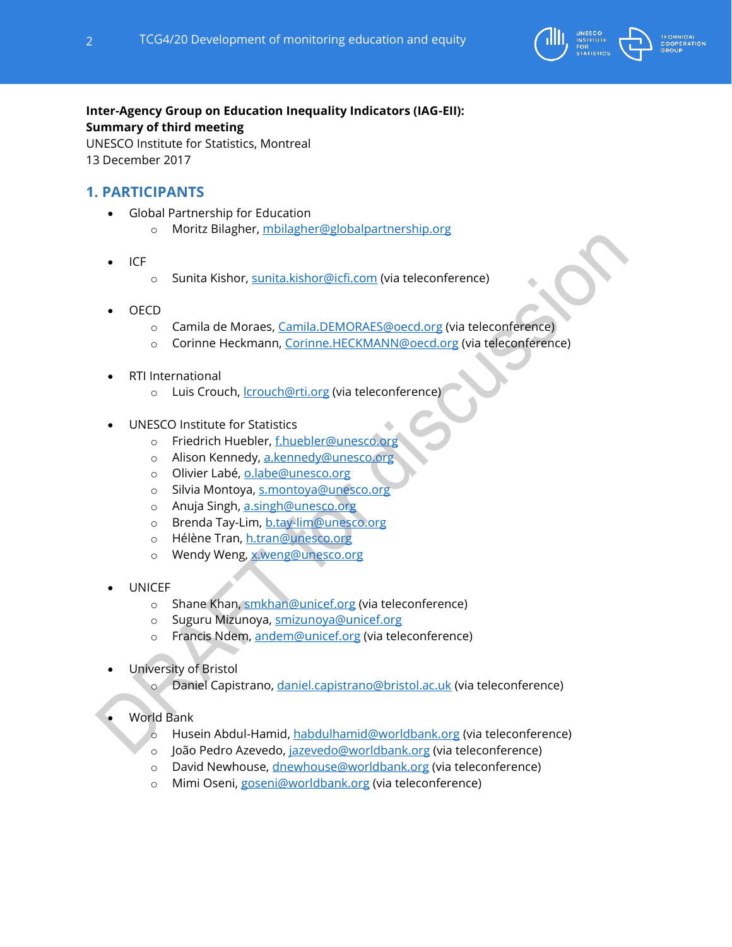

#### **Inter-Agency Group on Education Inequality Indicators (IAG-EII): Summary of third meeting** UNESCO Institute for Statistics, Montreal

13 December 2017

# **1. PARTICIPANTS**

- Global Partnership for Education
	- o Moritz Bilagher, [mbilagher@globalpartnership.org](mailto:mbilagher@globalpartnership.org)
- ICF
- o Sunita Kishor, [sunita.kishor@icfi.com](mailto:sunita.kishor@icfi.com) (via teleconference)
- OECD
	- o Camila de Moraes, [Camila.DEMORAES@oecd.org](mailto:Camila.DEMORAES@oecd.org) (via teleconference)
	- o Corinne Heckmann, [Corinne.HECKMANN@oecd.org](mailto:Corinne.HECKMANN@oecd.org) (via teleconference)
- RTI International
	- o Luis Crouch, *crouch@rti.org* (via teleconference)
- UNESCO Institute for Statistics
	- o Friedrich Huebler, [f.huebler@unesco.org](mailto:f.huebler@unesco.org)
	- o Alison Kennedy, [a.kennedy@unesco.org](mailto:a.kennedy@unesco.org)
	- o Olivier Labé, [o.labe@unesco.org](mailto:o.labe@unesco.org)
	- o Silvia Montoya, [s.montoya@unesco.org](mailto:s.montoya@unesco.org)
	- o Anuja Singh, [a.singh@unesco.org](mailto:a.singh@unesco.org)
	- o Brenda Tay-Lim, [b.tay-lim@unesco.org](mailto:b.tay-lim@unesco.org)
	- o Hélène Tran, [h.tran@unesco.org](mailto:h.tran@unesco.org)
	- o Wendy Weng, [x.weng@unesco.org](mailto:x.weng@unesco.org)
- **UNICEF** 
	- o Shane Khan, [smkhan@unicef.org](mailto:smkhan@unicef.org) (via teleconference)
	- o Suguru Mizunoya, [smizunoya@unicef.org](mailto:smizunoya@unicef.org)
	- o Francis Ndem, [andem@unicef.org](mailto:andem@unicef.org) (via teleconference)
- University of Bristol
	- o Daniel Capistrano, [daniel.capistrano@bristol.ac.uk](mailto:daniel.capistrano@bristol.ac.uk) (via teleconference)
- World Bank
	- o Husein Abdul-Hamid, [habdulhamid@worldbank.org](mailto:habdulhamid@worldbank.org) (via teleconference)
	- o João Pedro Azevedo, [jazevedo@worldbank.org](mailto:jazevedo@worldbank.org) (via teleconference)
	- o David Newhouse, [dnewhouse@worldbank.org](mailto:dnewhouse@worldbank.org) (via teleconference)
	- o Mimi Oseni, [goseni@worldbank.org](mailto:goseni@worldbank.org) (via teleconference)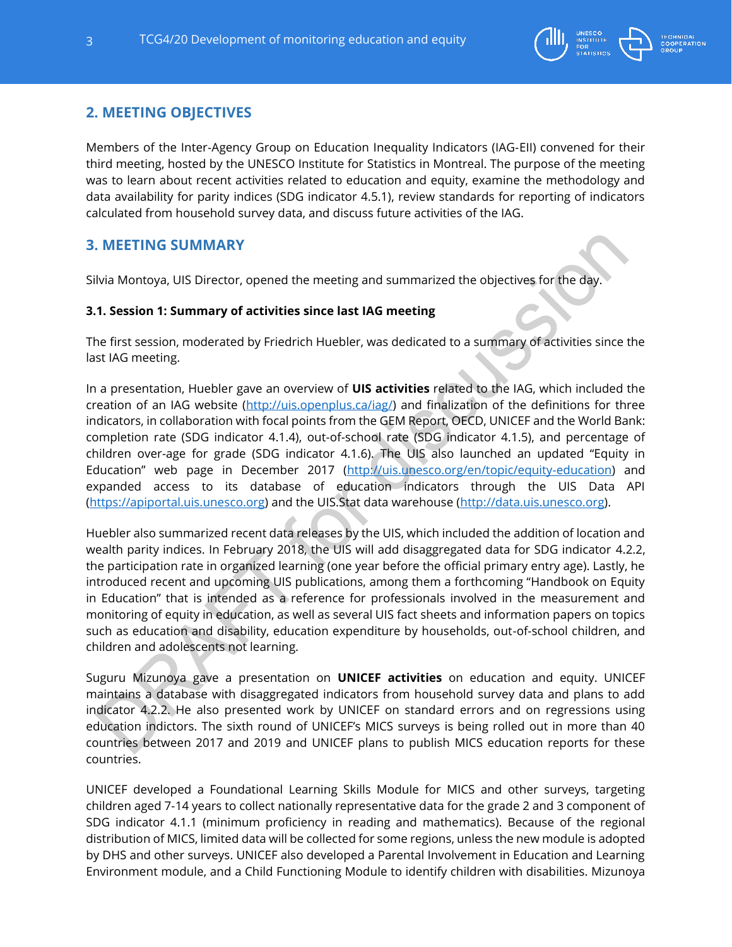

# **2. MEETING OBJECTIVES**

Members of the Inter‐Agency Group on Education Inequality Indicators (IAG‐EII) convened for their third meeting, hosted by the UNESCO Institute for Statistics in Montreal. The purpose of the meeting was to learn about recent activities related to education and equity, examine the methodology and data availability for parity indices (SDG indicator 4.5.1), review standards for reporting of indicators calculated from household survey data, and discuss future activities of the IAG.

## **3. MEETING SUMMARY**

Silvia Montoya, UIS Director, opened the meeting and summarized the objectives for the day.

#### **3.1. Session 1: Summary of activities since last IAG meeting**

The first session, moderated by Friedrich Huebler, was dedicated to a summary of activities since the last IAG meeting.

In a presentation, Huebler gave an overview of **UIS activities** related to the IAG, which included the creation of an IAG website [\(http://uis.openplus.ca/iag/\)](http://uis.openplus.ca/iag/) and finalization of the definitions for three indicators, in collaboration with focal points from the GEM Report, OECD, UNICEF and the World Bank: completion rate (SDG indicator 4.1.4), out-of-school rate (SDG indicator 4.1.5), and percentage of children over-age for grade (SDG indicator 4.1.6). The UIS also launched an updated "Equity in Education" web page in December 2017 ([http://uis.unesco.org/en/topic/equity-education\)](http://uis.unesco.org/en/topic/equity-education) and expanded access to its database of education indicators through the UIS Data API [\(https://apiportal.uis.unesco.org\)](https://apiportal.uis.unesco.org/) and the UIS.Stat data warehouse [\(http://data.uis.unesco.org\)](http://data.uis.unesco.org/).

Huebler also summarized recent data releases by the UIS, which included the addition of location and wealth parity indices. In February 2018, the UIS will add disaggregated data for SDG indicator 4.2.2, the participation rate in organized learning (one year before the official primary entry age). Lastly, he introduced recent and upcoming UIS publications, among them a forthcoming "Handbook on Equity in Education" that is intended as a reference for professionals involved in the measurement and monitoring of equity in education, as well as several UIS fact sheets and information papers on topics such as education and disability, education expenditure by households, out-of-school children, and children and adolescents not learning.

Suguru Mizunoya gave a presentation on **UNICEF activities** on education and equity. UNICEF maintains a database with disaggregated indicators from household survey data and plans to add indicator 4.2.2. He also presented work by UNICEF on standard errors and on regressions using education indictors. The sixth round of UNICEF's MICS surveys is being rolled out in more than 40 countries between 2017 and 2019 and UNICEF plans to publish MICS education reports for these countries.

UNICEF developed a Foundational Learning Skills Module for MICS and other surveys, targeting children aged 7-14 years to collect nationally representative data for the grade 2 and 3 component of SDG indicator 4.1.1 (minimum proficiency in reading and mathematics). Because of the regional distribution of MICS, limited data will be collected for some regions, unless the new module is adopted by DHS and other surveys. UNICEF also developed a Parental Involvement in Education and Learning Environment module, and a Child Functioning Module to identify children with disabilities. Mizunoya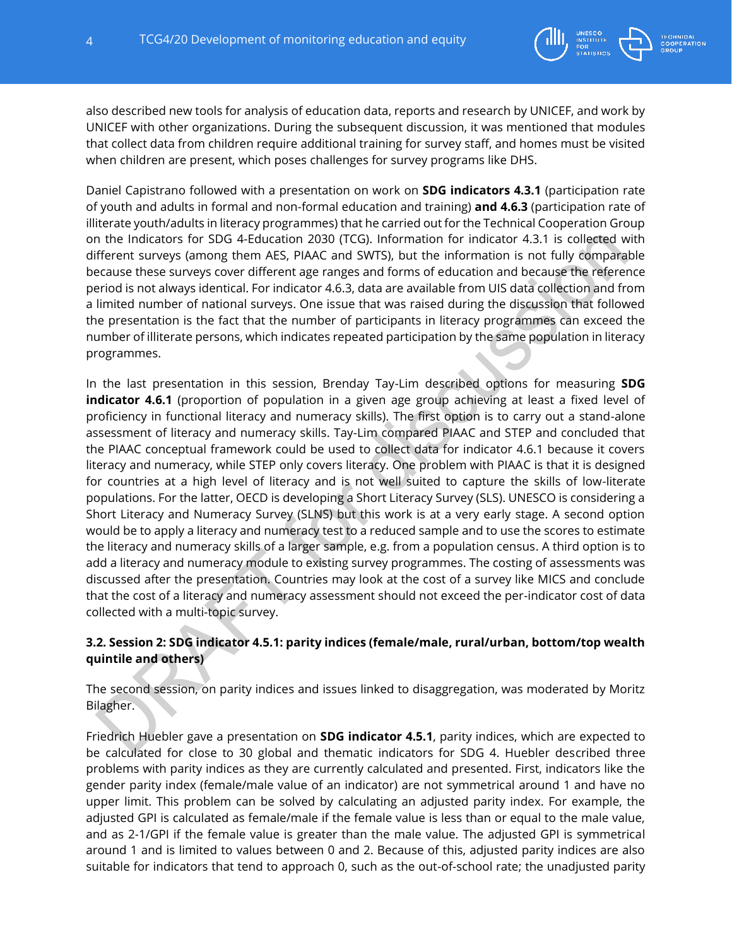

Daniel Capistrano followed with a presentation on work on **SDG indicators 4.3.1** (participation rate of youth and adults in formal and non-formal education and training) **and 4.6.3** (participation rate of illiterate youth/adults in literacy programmes) that he carried out for the Technical Cooperation Group on the Indicators for SDG 4-Education 2030 (TCG). Information for indicator 4.3.1 is collected with different surveys (among them AES, PIAAC and SWTS), but the information is not fully comparable because these surveys cover different age ranges and forms of education and because the reference period is not always identical. For indicator 4.6.3, data are available from UIS data collection and from a limited number of national surveys. One issue that was raised during the discussion that followed the presentation is the fact that the number of participants in literacy programmes can exceed the number of illiterate persons, which indicates repeated participation by the same population in literacy programmes.

In the last presentation in this session, Brenday Tay-Lim described options for measuring **SDG indicator 4.6.1** (proportion of population in a given age group achieving at least a fixed level of proficiency in functional literacy and numeracy skills). The first option is to carry out a stand-alone assessment of literacy and numeracy skills. Tay-Lim compared PIAAC and STEP and concluded that the PIAAC conceptual framework could be used to collect data for indicator 4.6.1 because it covers literacy and numeracy, while STEP only covers literacy. One problem with PIAAC is that it is designed for countries at a high level of literacy and is not well suited to capture the skills of low-literate populations. For the latter, OECD is developing a Short Literacy Survey (SLS). UNESCO is considering a Short Literacy and Numeracy Survey (SLNS) but this work is at a very early stage. A second option would be to apply a literacy and numeracy test to a reduced sample and to use the scores to estimate the literacy and numeracy skills of a larger sample, e.g. from a population census. A third option is to add a literacy and numeracy module to existing survey programmes. The costing of assessments was discussed after the presentation. Countries may look at the cost of a survey like MICS and conclude that the cost of a literacy and numeracy assessment should not exceed the per-indicator cost of data collected with a multi-topic survey.

#### **3.2. Session 2: SDG indicator 4.5.1: parity indices (female/male, rural/urban, bottom/top wealth quintile and others)**

The second session, on parity indices and issues linked to disaggregation, was moderated by Moritz Bilagher.

Friedrich Huebler gave a presentation on **SDG indicator 4.5.1**, parity indices, which are expected to be calculated for close to 30 global and thematic indicators for SDG 4. Huebler described three problems with parity indices as they are currently calculated and presented. First, indicators like the gender parity index (female/male value of an indicator) are not symmetrical around 1 and have no upper limit. This problem can be solved by calculating an adjusted parity index. For example, the adjusted GPI is calculated as female/male if the female value is less than or equal to the male value, and as 2-1/GPI if the female value is greater than the male value. The adjusted GPI is symmetrical around 1 and is limited to values between 0 and 2. Because of this, adjusted parity indices are also suitable for indicators that tend to approach 0, such as the out-of-school rate; the unadjusted parity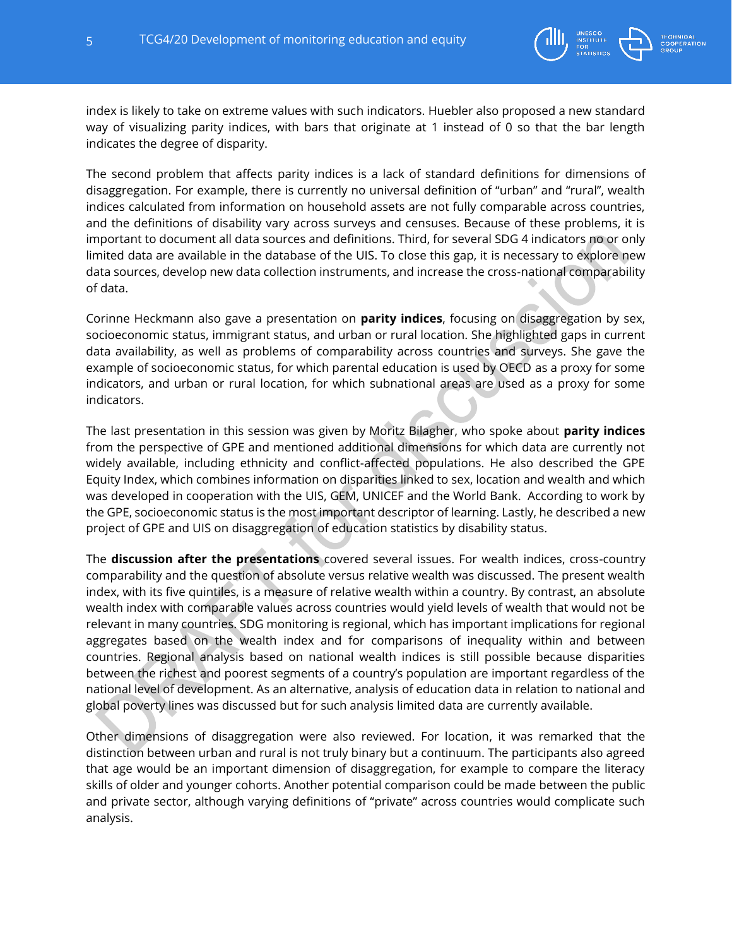

index is likely to take on extreme values with such indicators. Huebler also proposed a new standard way of visualizing parity indices, with bars that originate at 1 instead of 0 so that the bar length indicates the degree of disparity.

The second problem that affects parity indices is a lack of standard definitions for dimensions of disaggregation. For example, there is currently no universal definition of "urban" and "rural", wealth indices calculated from information on household assets are not fully comparable across countries, and the definitions of disability vary across surveys and censuses. Because of these problems, it is important to document all data sources and definitions. Third, for several SDG 4 indicators no or only limited data are available in the database of the UIS. To close this gap, it is necessary to explore new data sources, develop new data collection instruments, and increase the cross-national comparability of data.

Corinne Heckmann also gave a presentation on **parity indices**, focusing on disaggregation by sex, socioeconomic status, immigrant status, and urban or rural location. She highlighted gaps in current data availability, as well as problems of comparability across countries and surveys. She gave the example of socioeconomic status, for which parental education is used by OECD as a proxy for some indicators, and urban or rural location, for which subnational areas are used as a proxy for some indicators.

The last presentation in this session was given by Moritz Bilagher, who spoke about **parity indices** from the perspective of GPE and mentioned additional dimensions for which data are currently not widely available, including ethnicity and conflict-affected populations. He also described the GPE Equity Index, which combines information on disparities linked to sex, location and wealth and which was developed in cooperation with the UIS, GEM, UNICEF and the World Bank. According to work by the GPE, socioeconomic status is the most important descriptor of learning. Lastly, he described a new project of GPE and UIS on disaggregation of education statistics by disability status.

The **discussion after the presentations** covered several issues. For wealth indices, cross-country comparability and the question of absolute versus relative wealth was discussed. The present wealth index, with its five quintiles, is a measure of relative wealth within a country. By contrast, an absolute wealth index with comparable values across countries would yield levels of wealth that would not be relevant in many countries. SDG monitoring is regional, which has important implications for regional aggregates based on the wealth index and for comparisons of inequality within and between countries. Regional analysis based on national wealth indices is still possible because disparities between the richest and poorest segments of a country's population are important regardless of the national level of development. As an alternative, analysis of education data in relation to national and global poverty lines was discussed but for such analysis limited data are currently available.

Other dimensions of disaggregation were also reviewed. For location, it was remarked that the distinction between urban and rural is not truly binary but a continuum. The participants also agreed that age would be an important dimension of disaggregation, for example to compare the literacy skills of older and younger cohorts. Another potential comparison could be made between the public and private sector, although varying definitions of "private" across countries would complicate such analysis.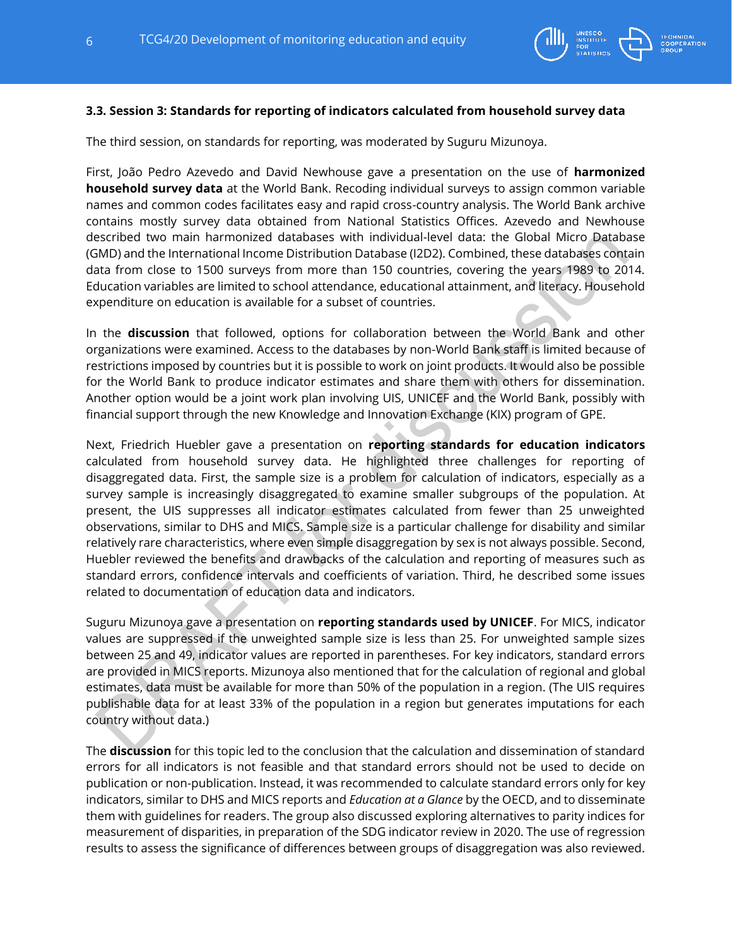

#### **3.3. Session 3: Standards for reporting of indicators calculated from household survey data**

The third session, on standards for reporting, was moderated by Suguru Mizunoya.

First, João Pedro Azevedo and David Newhouse gave a presentation on the use of **harmonized household survey data** at the World Bank. Recoding individual surveys to assign common variable names and common codes facilitates easy and rapid cross-country analysis. The World Bank archive contains mostly survey data obtained from National Statistics Offices. Azevedo and Newhouse described two main harmonized databases with individual-level data: the Global Micro Database (GMD) and the International Income Distribution Database (I2D2). Combined, these databases contain data from close to 1500 surveys from more than 150 countries, covering the years 1989 to 2014. Education variables are limited to school attendance, educational attainment, and literacy. Household expenditure on education is available for a subset of countries.

In the **discussion** that followed, options for collaboration between the World Bank and other organizations were examined. Access to the databases by non-World Bank staff is limited because of restrictions imposed by countries but it is possible to work on joint products. It would also be possible for the World Bank to produce indicator estimates and share them with others for dissemination. Another option would be a joint work plan involving UIS, UNICEF and the World Bank, possibly with financial support through the new Knowledge and Innovation Exchange (KIX) program of GPE.

Next, Friedrich Huebler gave a presentation on **reporting standards for education indicators** calculated from household survey data. He highlighted three challenges for reporting of disaggregated data. First, the sample size is a problem for calculation of indicators, especially as a survey sample is increasingly disaggregated to examine smaller subgroups of the population. At present, the UIS suppresses all indicator estimates calculated from fewer than 25 unweighted observations, similar to DHS and MICS. Sample size is a particular challenge for disability and similar relatively rare characteristics, where even simple disaggregation by sex is not always possible. Second, Huebler reviewed the benefits and drawbacks of the calculation and reporting of measures such as standard errors, confidence intervals and coefficients of variation. Third, he described some issues related to documentation of education data and indicators.

Suguru Mizunoya gave a presentation on **reporting standards used by UNICEF**. For MICS, indicator values are suppressed if the unweighted sample size is less than 25. For unweighted sample sizes between 25 and 49, indicator values are reported in parentheses. For key indicators, standard errors are provided in MICS reports. Mizunoya also mentioned that for the calculation of regional and global estimates, data must be available for more than 50% of the population in a region. (The UIS requires publishable data for at least 33% of the population in a region but generates imputations for each country without data.)

The **discussion** for this topic led to the conclusion that the calculation and dissemination of standard errors for all indicators is not feasible and that standard errors should not be used to decide on publication or non-publication. Instead, it was recommended to calculate standard errors only for key indicators, similar to DHS and MICS reports and *Education at a Glance* by the OECD, and to disseminate them with guidelines for readers. The group also discussed exploring alternatives to parity indices for measurement of disparities, in preparation of the SDG indicator review in 2020. The use of regression results to assess the significance of differences between groups of disaggregation was also reviewed.